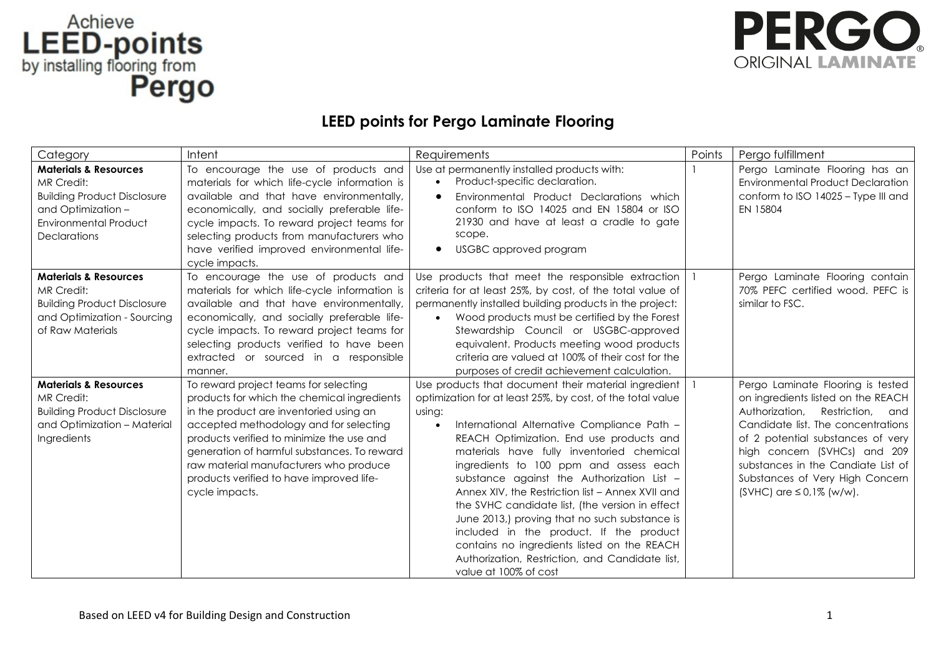## LEED-points<br>by installing flooring from<br>**Pergo**



## **LEED points for Pergo Laminate Flooring**

| Category                                                                                                                                                   | Intent                                                                                                                                                                                                                                                                                                                                                                        | Requirements                                                                                                                                                                                                                                                                                                                                                                                                                                                                                                                                                                                                                                                                               | Points | Pergo fulfillment                                                                                                                                                                                                                                                                                                                     |
|------------------------------------------------------------------------------------------------------------------------------------------------------------|-------------------------------------------------------------------------------------------------------------------------------------------------------------------------------------------------------------------------------------------------------------------------------------------------------------------------------------------------------------------------------|--------------------------------------------------------------------------------------------------------------------------------------------------------------------------------------------------------------------------------------------------------------------------------------------------------------------------------------------------------------------------------------------------------------------------------------------------------------------------------------------------------------------------------------------------------------------------------------------------------------------------------------------------------------------------------------------|--------|---------------------------------------------------------------------------------------------------------------------------------------------------------------------------------------------------------------------------------------------------------------------------------------------------------------------------------------|
| <b>Materials &amp; Resources</b><br>MR Credit:<br><b>Building Product Disclosure</b><br>and Optimization -<br><b>Environmental Product</b><br>Declarations | To encourage the use of products and<br>materials for which life-cycle information is<br>available and that have environmentally,<br>economically, and socially preferable life-<br>cycle impacts. To reward project teams for<br>selecting products from manufacturers who<br>have verified improved environmental life-<br>cycle impacts.                                   | Use at permanently installed products with:<br>Product-specific declaration.<br>$\bullet$<br>Environmental Product Declarations which<br>$\bullet$<br>conform to ISO 14025 and EN 15804 or ISO<br>21930 and have at least a cradle to gate<br>scope.<br><b>USGBC</b> approved program<br>$\bullet$                                                                                                                                                                                                                                                                                                                                                                                         |        | Pergo Laminate Flooring has an<br><b>Environmental Product Declaration</b><br>conform to ISO 14025 - Type III and<br>EN 15804                                                                                                                                                                                                         |
| <b>Materials &amp; Resources</b><br>MR Credit:<br><b>Building Product Disclosure</b><br>and Optimization - Sourcing<br>of Raw Materials                    | To encourage the use of products and<br>materials for which life-cycle information is<br>available and that have environmentally,<br>economically, and socially preferable life-<br>cycle impacts. To reward project teams for<br>selecting products verified to have been<br>extracted or sourced in a responsible<br>manner.                                                | Use products that meet the responsible extraction<br>criteria for at least 25%, by cost, of the total value of<br>permanently installed building products in the project:<br>Wood products must be certified by the Forest<br>$\bullet$<br>Stewardship Council or USGBC-approved<br>equivalent. Products meeting wood products<br>criteria are valued at 100% of their cost for the<br>purposes of credit achievement calculation.                                                                                                                                                                                                                                                         |        | Pergo Laminate Flooring contain<br>70% PEFC certified wood. PEFC is<br>similar to FSC.                                                                                                                                                                                                                                                |
| <b>Materials &amp; Resources</b><br>MR Credit:<br><b>Building Product Disclosure</b><br>and Optimization - Material<br>Ingredients                         | To reward project teams for selecting<br>products for which the chemical ingredients<br>in the product are inventoried using an<br>accepted methodology and for selecting<br>products verified to minimize the use and<br>generation of harmful substances. To reward<br>raw material manufacturers who produce<br>products verified to have improved life-<br>cycle impacts. | Use products that document their material ingredient<br>optimization for at least 25%, by cost, of the total value<br>using:<br>International Alternative Compliance Path -<br>REACH Optimization. End use products and<br>materials have fully inventoried chemical<br>ingredients to 100 ppm and assess each<br>substance against the Authorization List -<br>Annex XIV, the Restriction list - Annex XVII and<br>the SVHC candidate list, (the version in effect<br>June 2013,) proving that no such substance is<br>included in the product. If the product<br>contains no ingredients listed on the REACH<br>Authorization, Restriction, and Candidate list,<br>value at 100% of cost |        | Pergo Laminate Flooring is tested<br>on ingredients listed on the REACH<br>Authorization,<br>Restriction, and<br>Candidate list. The concentrations<br>of 2 potential substances of very<br>high concern (SVHCs) and 209<br>substances in the Candiate List of<br>Substances of Very High Concern<br>$(SVHC)$ are $\leq 0.1\%$ (w/w). |